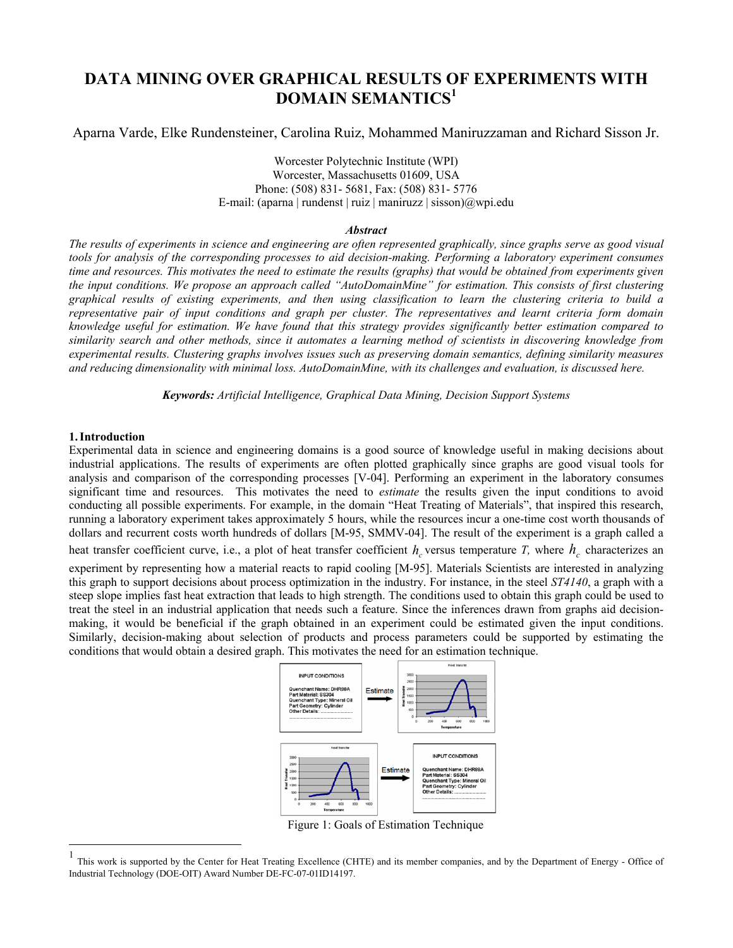# **DATA MINING OVER GRAPHICAL RESULTS OF EXPERIMENTS WITH DOMAIN SEMANTICS<sup>1</sup>**

Aparna Varde, Elke Rundensteiner, Carolina Ruiz, Mohammed Maniruzzaman and Richard Sisson Jr.

Worcester Polytechnic Institute (WPI) Worcester, Massachusetts 01609, USA Phone: (508) 831- 5681, Fax: (508) 831- 5776 E-mail: (aparna | rundenst | ruiz | maniruzz | sisson) $\omega$ wpi.edu

## *Abstract*

*The results of experiments in science and engineering are often represented graphically, since graphs serve as good visual tools for analysis of the corresponding processes to aid decision-making. Performing a laboratory experiment consumes time and resources. This motivates the need to estimate the results (graphs) that would be obtained from experiments given the input conditions. We propose an approach called "AutoDomainMine" for estimation. This consists of first clustering graphical results of existing experiments, and then using classification to learn the clustering criteria to build a representative pair of input conditions and graph per cluster. The representatives and learnt criteria form domain knowledge useful for estimation. We have found that this strategy provides significantly better estimation compared to similarity search and other methods, since it automates a learning method of scientists in discovering knowledge from experimental results. Clustering graphs involves issues such as preserving domain semantics, defining similarity measures and reducing dimensionality with minimal loss. AutoDomainMine, with its challenges and evaluation, is discussed here.* 

*Keywords: Artificial Intelligence, Graphical Data Mining, Decision Support Systems* 

## **1.Introduction**

 $\overline{a}$ 

Experimental data in science and engineering domains is a good source of knowledge useful in making decisions about industrial applications. The results of experiments are often plotted graphically since graphs are good visual tools for analysis and comparison of the corresponding processes [V-04]. Performing an experiment in the laboratory consumes significant time and resources. This motivates the need to *estimate* the results given the input conditions to avoid conducting all possible experiments. For example, in the domain "Heat Treating of Materials", that inspired this research, running a laboratory experiment takes approximately 5 hours, while the resources incur a one-time cost worth thousands of dollars and recurrent costs worth hundreds of dollars [M-95, SMMV-04]. The result of the experiment is a graph called a

heat transfer coefficient curve, i.e., a plot of heat transfer coefficient  $h_c$  versus temperature *T*, where  $h_c$  characterizes an

experiment by representing how a material reacts to rapid cooling [M-95]. Materials Scientists are interested in analyzing this graph to support decisions about process optimization in the industry. For instance, in the steel *ST4140*, a graph with a steep slope implies fast heat extraction that leads to high strength. The conditions used to obtain this graph could be used to treat the steel in an industrial application that needs such a feature. Since the inferences drawn from graphs aid decisionmaking, it would be beneficial if the graph obtained in an experiment could be estimated given the input conditions. Similarly, decision-making about selection of products and process parameters could be supported by estimating the conditions that would obtain a desired graph. This motivates the need for an estimation technique.



Figure 1: Goals of Estimation Technique

This work is supported by the Center for Heat Treating Excellence (CHTE) and its member companies, and by the Department of Energy - Office of Industrial Technology (DOE-OIT) Award Number DE-FC-07-01ID14197.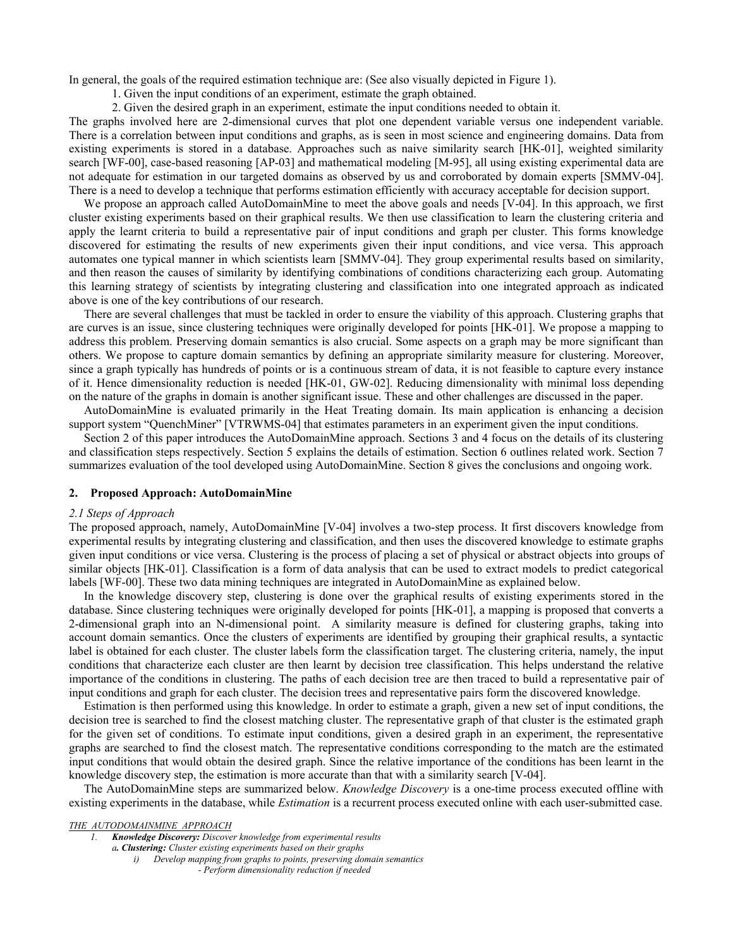In general, the goals of the required estimation technique are: (See also visually depicted in Figure 1).

1. Given the input conditions of an experiment, estimate the graph obtained.

2. Given the desired graph in an experiment, estimate the input conditions needed to obtain it.

The graphs involved here are 2-dimensional curves that plot one dependent variable versus one independent variable. There is a correlation between input conditions and graphs, as is seen in most science and engineering domains. Data from existing experiments is stored in a database. Approaches such as naive similarity search [HK-01], weighted similarity search [WF-00], case-based reasoning [AP-03] and mathematical modeling [M-95], all using existing experimental data are not adequate for estimation in our targeted domains as observed by us and corroborated by domain experts [SMMV-04]. There is a need to develop a technique that performs estimation efficiently with accuracy acceptable for decision support.

 We propose an approach called AutoDomainMine to meet the above goals and needs [V-04]. In this approach, we first cluster existing experiments based on their graphical results. We then use classification to learn the clustering criteria and apply the learnt criteria to build a representative pair of input conditions and graph per cluster. This forms knowledge discovered for estimating the results of new experiments given their input conditions, and vice versa. This approach automates one typical manner in which scientists learn [SMMV-04]. They group experimental results based on similarity, and then reason the causes of similarity by identifying combinations of conditions characterizing each group. Automating this learning strategy of scientists by integrating clustering and classification into one integrated approach as indicated above is one of the key contributions of our research.

 There are several challenges that must be tackled in order to ensure the viability of this approach. Clustering graphs that are curves is an issue, since clustering techniques were originally developed for points [HK-01]. We propose a mapping to address this problem. Preserving domain semantics is also crucial. Some aspects on a graph may be more significant than others. We propose to capture domain semantics by defining an appropriate similarity measure for clustering. Moreover, since a graph typically has hundreds of points or is a continuous stream of data, it is not feasible to capture every instance of it. Hence dimensionality reduction is needed [HK-01, GW-02]. Reducing dimensionality with minimal loss depending on the nature of the graphs in domain is another significant issue. These and other challenges are discussed in the paper.

 AutoDomainMine is evaluated primarily in the Heat Treating domain. Its main application is enhancing a decision support system "QuenchMiner" [VTRWMS-04] that estimates parameters in an experiment given the input conditions.

 Section 2 of this paper introduces the AutoDomainMine approach. Sections 3 and 4 focus on the details of its clustering and classification steps respectively. Section 5 explains the details of estimation. Section 6 outlines related work. Section 7 summarizes evaluation of the tool developed using AutoDomainMine. Section 8 gives the conclusions and ongoing work.

## **2. Proposed Approach: AutoDomainMine**

## *2.1 Steps of Approach*

The proposed approach, namely, AutoDomainMine [V-04] involves a two-step process. It first discovers knowledge from experimental results by integrating clustering and classification, and then uses the discovered knowledge to estimate graphs given input conditions or vice versa. Clustering is the process of placing a set of physical or abstract objects into groups of similar objects [HK-01]. Classification is a form of data analysis that can be used to extract models to predict categorical labels [WF-00]. These two data mining techniques are integrated in AutoDomainMine as explained below.

 In the knowledge discovery step, clustering is done over the graphical results of existing experiments stored in the database. Since clustering techniques were originally developed for points [HK-01], a mapping is proposed that converts a 2-dimensional graph into an N-dimensional point. A similarity measure is defined for clustering graphs, taking into account domain semantics. Once the clusters of experiments are identified by grouping their graphical results, a syntactic label is obtained for each cluster. The cluster labels form the classification target. The clustering criteria, namely, the input conditions that characterize each cluster are then learnt by decision tree classification. This helps understand the relative importance of the conditions in clustering. The paths of each decision tree are then traced to build a representative pair of input conditions and graph for each cluster. The decision trees and representative pairs form the discovered knowledge.

 Estimation is then performed using this knowledge. In order to estimate a graph, given a new set of input conditions, the decision tree is searched to find the closest matching cluster. The representative graph of that cluster is the estimated graph for the given set of conditions. To estimate input conditions, given a desired graph in an experiment, the representative graphs are searched to find the closest match. The representative conditions corresponding to the match are the estimated input conditions that would obtain the desired graph. Since the relative importance of the conditions has been learnt in the knowledge discovery step, the estimation is more accurate than that with a similarity search [V-04].

 The AutoDomainMine steps are summarized below. *Knowledge Discovery* is a one-time process executed offline with existing experiments in the database, while *Estimation* is a recurrent process executed online with each user-submitted case.

### *THE AUTODOMAINMINE APPROACH*

*1. Knowledge Discovery: Discover knowledge from experimental results* 

*a. Clustering: Cluster existing experiments based on their graphs* 

- *i) Develop mapping from graphs to points, preserving domain semantics* 
	- *Perform dimensionality reduction if needed*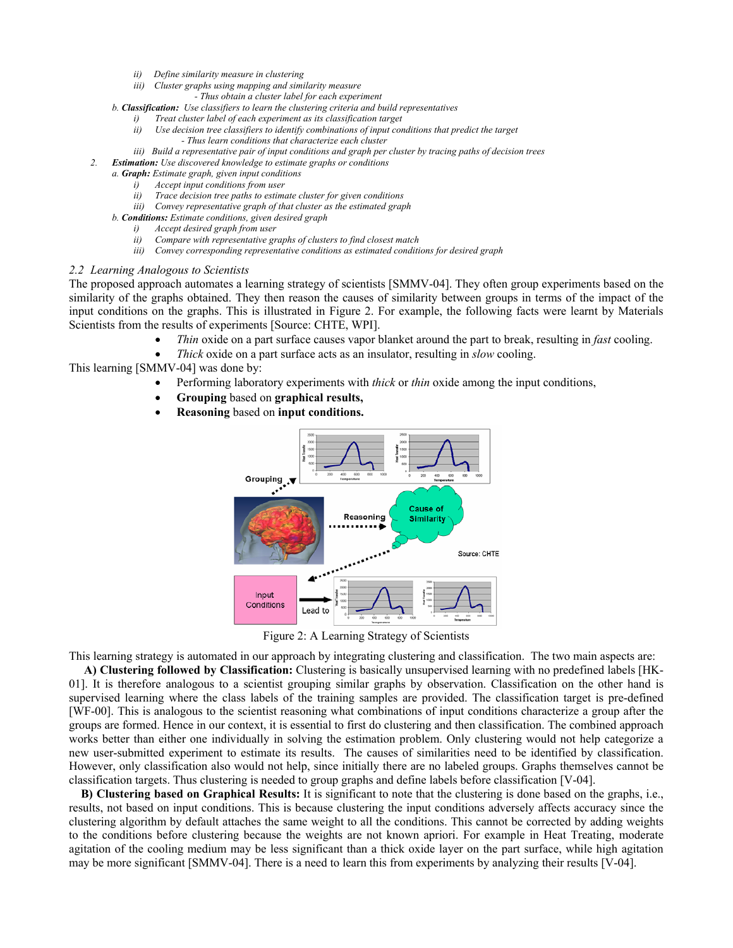- *ii) Define similarity measure in clustering*
- *iii) Cluster graphs using mapping and similarity measure* 
	- *Thus obtain a cluster label for each experiment*
- *b. Classification: Use classifiers to learn the clustering criteria and build representatives* 
	- *i) Treat cluster label of each experiment as its classification target*
	- *ii) Use decision tree classifiers to identify combinations of input conditions that predict the target* 
		- *Thus learn conditions that characterize each cluster*
	- *iii)* Build a representative pair of input conditions and graph per cluster by tracing paths of decision trees
- *2. Estimation: Use discovered knowledge to estimate graphs or conditions*
	- *a. Graph: Estimate graph, given input conditions* 
		- *i) Accept input conditions from user*
		- *ii) Trace decision tree paths to estimate cluster for given conditions iii) Convey representative graph of that cluster as the estimated graph*
	- *b. Conditions: Estimate conditions, given desired graph*
		- *i) Accept desired graph from user*
		- *ii) Compare with representative graphs of clusters to find closest match*
		- *iii) Convey corresponding representative conditions as estimated conditions for desired graph*

#### *2.2 Learning Analogous to Scientists*

The proposed approach automates a learning strategy of scientists [SMMV-04]. They often group experiments based on the similarity of the graphs obtained. They then reason the causes of similarity between groups in terms of the impact of the input conditions on the graphs. This is illustrated in Figure 2. For example, the following facts were learnt by Materials Scientists from the results of experiments [Source: CHTE, WPI].

- *Thin* oxide on a part surface causes vapor blanket around the part to break, resulting in *fast* cooling.
- *Thick* oxide on a part surface acts as an insulator, resulting in *slow* cooling.

This learning [SMMV-04] was done by:

- Performing laboratory experiments with *thick* or *thin* oxide among the input conditions,
- **Grouping** based on **graphical results,**
- **Reasoning** based on **input conditions.**



Figure 2: A Learning Strategy of Scientists

This learning strategy is automated in our approach by integrating clustering and classification. The two main aspects are:

 **A) Clustering followed by Classification:** Clustering is basically unsupervised learning with no predefined labels [HK-01]. It is therefore analogous to a scientist grouping similar graphs by observation. Classification on the other hand is supervised learning where the class labels of the training samples are provided. The classification target is pre-defined [WF-00]. This is analogous to the scientist reasoning what combinations of input conditions characterize a group after the groups are formed. Hence in our context, it is essential to first do clustering and then classification. The combined approach works better than either one individually in solving the estimation problem. Only clustering would not help categorize a new user-submitted experiment to estimate its results. The causes of similarities need to be identified by classification. However, only classification also would not help, since initially there are no labeled groups. Graphs themselves cannot be classification targets. Thus clustering is needed to group graphs and define labels before classification [V-04].

 **B) Clustering based on Graphical Results:** It is significant to note that the clustering is done based on the graphs, i.e., results, not based on input conditions. This is because clustering the input conditions adversely affects accuracy since the clustering algorithm by default attaches the same weight to all the conditions. This cannot be corrected by adding weights to the conditions before clustering because the weights are not known apriori. For example in Heat Treating, moderate agitation of the cooling medium may be less significant than a thick oxide layer on the part surface, while high agitation may be more significant [SMMV-04]. There is a need to learn this from experiments by analyzing their results [V-04].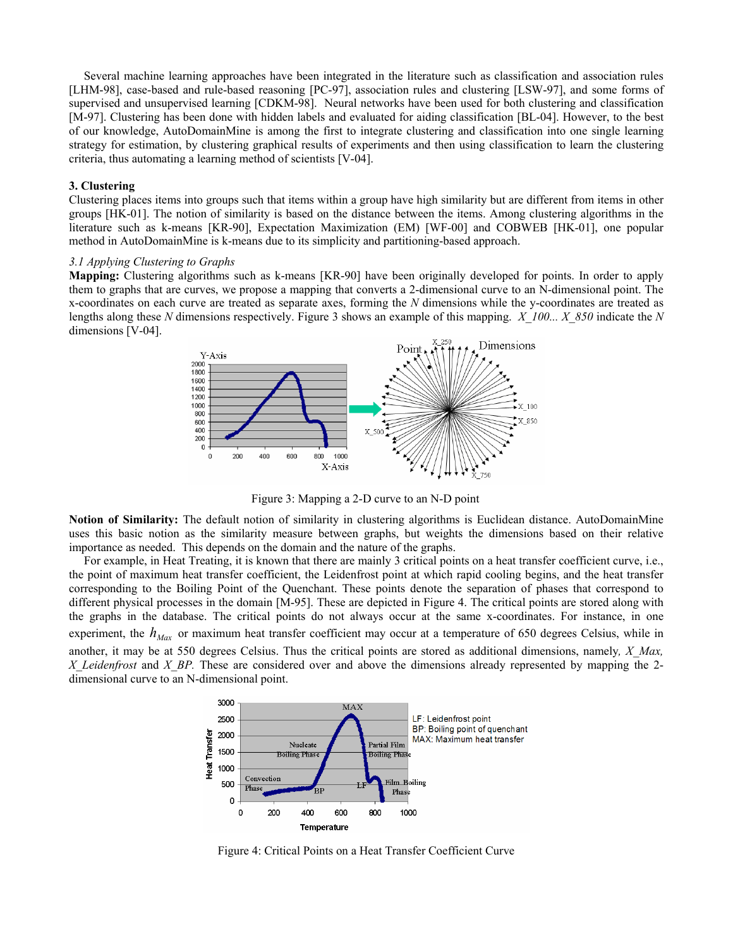Several machine learning approaches have been integrated in the literature such as classification and association rules [LHM-98], case-based and rule-based reasoning [PC-97], association rules and clustering [LSW-97], and some forms of supervised and unsupervised learning [CDKM-98]. Neural networks have been used for both clustering and classification [M-97]. Clustering has been done with hidden labels and evaluated for aiding classification [BL-04]. However, to the best of our knowledge, AutoDomainMine is among the first to integrate clustering and classification into one single learning strategy for estimation, by clustering graphical results of experiments and then using classification to learn the clustering criteria, thus automating a learning method of scientists [V-04].

### **3. Clustering**

Clustering places items into groups such that items within a group have high similarity but are different from items in other groups [HK-01]. The notion of similarity is based on the distance between the items. Among clustering algorithms in the literature such as k-means [KR-90], Expectation Maximization (EM) [WF-00] and COBWEB [HK-01], one popular method in AutoDomainMine is k-means due to its simplicity and partitioning-based approach.

### *3.1 Applying Clustering to Graphs*

**Mapping:** Clustering algorithms such as k-means [KR-90] have been originally developed for points. In order to apply them to graphs that are curves, we propose a mapping that converts a 2-dimensional curve to an N-dimensional point. The x-coordinates on each curve are treated as separate axes, forming the *N* dimensions while the y-coordinates are treated as lengths along these *N* dimensions respectively. Figure 3 shows an example of this mapping. *X\_100... X\_850* indicate the *N* dimensions [V-04].



Figure 3: Mapping a 2-D curve to an N-D point

**Notion of Similarity:** The default notion of similarity in clustering algorithms is Euclidean distance. AutoDomainMine uses this basic notion as the similarity measure between graphs, but weights the dimensions based on their relative importance as needed. This depends on the domain and the nature of the graphs.

 For example, in Heat Treating, it is known that there are mainly 3 critical points on a heat transfer coefficient curve, i.e., the point of maximum heat transfer coefficient, the Leidenfrost point at which rapid cooling begins, and the heat transfer corresponding to the Boiling Point of the Quenchant. These points denote the separation of phases that correspond to different physical processes in the domain [M-95]. These are depicted in Figure 4. The critical points are stored along with the graphs in the database. The critical points do not always occur at the same x-coordinates. For instance, in one experiment, the  $h_{\text{Mar}}$  or maximum heat transfer coefficient may occur at a temperature of 650 degrees Celsius, while in another, it may be at 550 degrees Celsius. Thus the critical points are stored as additional dimensions, namely*, X\_Max, X\_Leidenfrost* and *X\_BP.* These are considered over and above the dimensions already represented by mapping the 2 dimensional curve to an N-dimensional point.



Figure 4: Critical Points on a Heat Transfer Coefficient Curve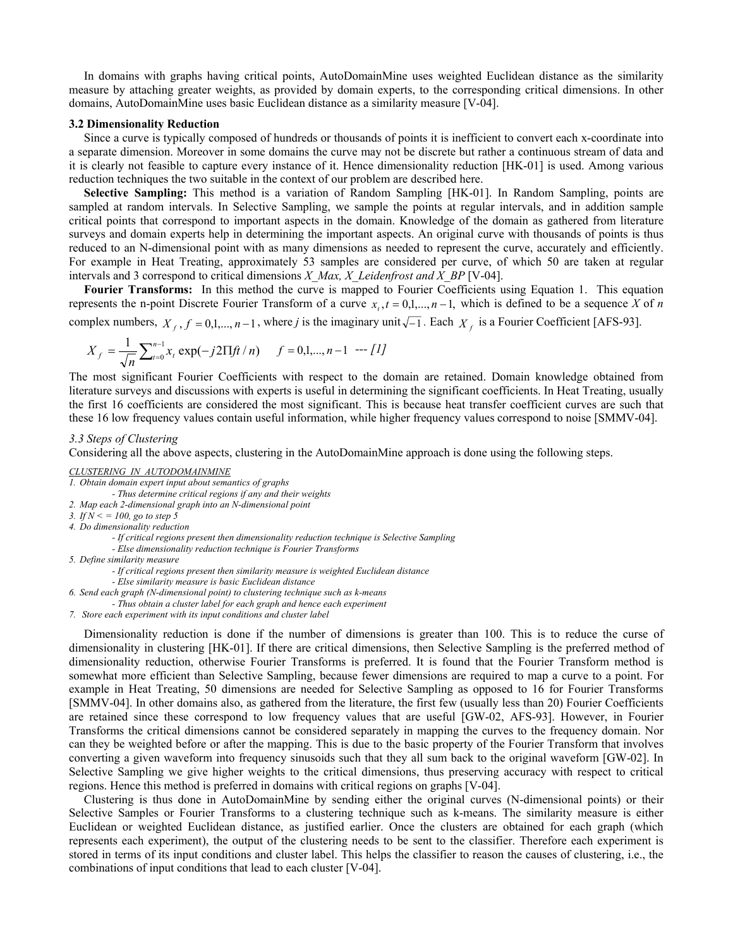In domains with graphs having critical points, AutoDomainMine uses weighted Euclidean distance as the similarity measure by attaching greater weights, as provided by domain experts, to the corresponding critical dimensions. In other domains, AutoDomainMine uses basic Euclidean distance as a similarity measure [V-04].

#### **3.2 Dimensionality Reduction**

 Since a curve is typically composed of hundreds or thousands of points it is inefficient to convert each x-coordinate into a separate dimension. Moreover in some domains the curve may not be discrete but rather a continuous stream of data and it is clearly not feasible to capture every instance of it. Hence dimensionality reduction [HK-01] is used. Among various reduction techniques the two suitable in the context of our problem are described here.

 **Selective Sampling:** This method is a variation of Random Sampling [HK-01]. In Random Sampling, points are sampled at random intervals. In Selective Sampling, we sample the points at regular intervals, and in addition sample critical points that correspond to important aspects in the domain. Knowledge of the domain as gathered from literature surveys and domain experts help in determining the important aspects. An original curve with thousands of points is thus reduced to an N-dimensional point with as many dimensions as needed to represent the curve, accurately and efficiently. For example in Heat Treating, approximately 53 samples are considered per curve, of which 50 are taken at regular intervals and 3 correspond to critical dimensions *X\_Max, X\_Leidenfrost and X\_BP* [V-04].

 **Fourier Transforms:**In this method the curve is mapped to Fourier Coefficients using Equation 1. This equation represents the n-point Discrete Fourier Transform of a curve  $x_t$ ,  $t = 0,1,...,n-1$ , which is defined to be a sequence *X* of *n* 

complex numbers,  $X_f$ ,  $f = 0,1,...,n-1$ , where *j* is the imaginary unit  $\sqrt{-1}$ . Each  $X_f$  is a Fourier Coefficient [AFS-93].

$$
X_f = \frac{1}{\sqrt{n}} \sum_{t=0}^{n-1} x_t \exp(-j2\pi f / n) \quad f = 0, 1, ..., n-1 \quad \text{---}[1]
$$

The most significant Fourier Coefficients with respect to the domain are retained. Domain knowledge obtained from literature surveys and discussions with experts is useful in determining the significant coefficients. In Heat Treating, usually the first 16 coefficients are considered the most significant. This is because heat transfer coefficient curves are such that these 16 low frequency values contain useful information, while higher frequency values correspond to noise [SMMV-04].

### *3.3 Steps of Clustering*

Considering all the above aspects, clustering in the AutoDomainMine approach is done using the following steps.

- *Thus determine critical regions if any and their weights*
- *2. Map each 2-dimensional graph into an N-dimensional point 3. If N < = 100, go to step 5*
- *4. Do dimensionality reduction* 
	- *If critical regions present then dimensionality reduction technique is Selective Sampling*
	- *Else dimensionality reduction technique is Fourier Transforms*
- *5. Define similarity measure* 
	- *If critical regions present then similarity measure is weighted Euclidean distance*
	- *Else similarity measure is basic Euclidean distance*
- *6. Send each graph (N-dimensional point) to clustering technique such as k-means*
- *Thus obtain a cluster label for each graph and hence each experiment*
- *7. Store each experiment with its input conditions and cluster label*

 Dimensionality reduction is done if the number of dimensions is greater than 100. This is to reduce the curse of dimensionality in clustering [HK-01]. If there are critical dimensions, then Selective Sampling is the preferred method of dimensionality reduction, otherwise Fourier Transforms is preferred. It is found that the Fourier Transform method is somewhat more efficient than Selective Sampling, because fewer dimensions are required to map a curve to a point. For example in Heat Treating, 50 dimensions are needed for Selective Sampling as opposed to 16 for Fourier Transforms [SMMV-04]. In other domains also, as gathered from the literature, the first few (usually less than 20) Fourier Coefficients are retained since these correspond to low frequency values that are useful [GW-02, AFS-93]. However, in Fourier Transforms the critical dimensions cannot be considered separately in mapping the curves to the frequency domain. Nor can they be weighted before or after the mapping. This is due to the basic property of the Fourier Transform that involves converting a given waveform into frequency sinusoids such that they all sum back to the original waveform [GW-02]. In Selective Sampling we give higher weights to the critical dimensions, thus preserving accuracy with respect to critical regions. Hence this method is preferred in domains with critical regions on graphs [V-04].

 Clustering is thus done in AutoDomainMine by sending either the original curves (N-dimensional points) or their Selective Samples or Fourier Transforms to a clustering technique such as k-means. The similarity measure is either Euclidean or weighted Euclidean distance, as justified earlier. Once the clusters are obtained for each graph (which represents each experiment), the output of the clustering needs to be sent to the classifier. Therefore each experiment is stored in terms of its input conditions and cluster label. This helps the classifier to reason the causes of clustering, i.e., the combinations of input conditions that lead to each cluster [V-04].

*CLUSTERING IN AUTODOMAINMINE*

*<sup>1.</sup> Obtain domain expert input about semantics of graphs*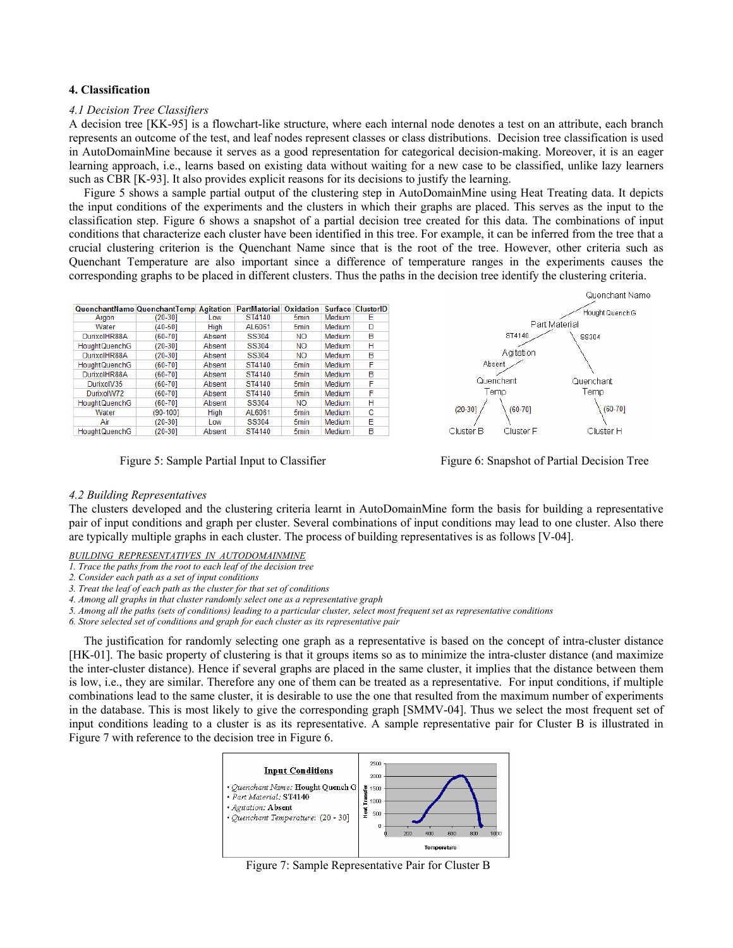## **4. Classification**

## *4.1 Decision Tree Classifiers*

A decision tree [KK-95] is a flowchart-like structure, where each internal node denotes a test on an attribute, each branch represents an outcome of the test, and leaf nodes represent classes or class distributions. Decision tree classification is used in AutoDomainMine because it serves as a good representation for categorical decision-making. Moreover, it is an eager learning approach, i.e., learns based on existing data without waiting for a new case to be classified, unlike lazy learners such as CBR [K-93]. It also provides explicit reasons for its decisions to justify the learning.

 Figure 5 shows a sample partial output of the clustering step in AutoDomainMine using Heat Treating data. It depicts the input conditions of the experiments and the clusters in which their graphs are placed. This serves as the input to the classification step. Figure 6 shows a snapshot of a partial decision tree created for this data. The combinations of input conditions that characterize each cluster have been identified in this tree. For example, it can be inferred from the tree that a crucial clustering criterion is the Quenchant Name since that is the root of the tree. However, other criteria such as Quenchant Temperature are also important since a difference of temperature ranges in the experiments causes the corresponding graphs to be placed in different clusters. Thus the paths in the decision tree identify the clustering criteria.

| QuenchantName QuenchantTemp Agitation |           |        | <b>PartMaterial</b> | Oxidation        | <b>Surface</b> | <b>ClusterID</b> |
|---------------------------------------|-----------|--------|---------------------|------------------|----------------|------------------|
| Argon                                 | $(20-30)$ | Low    | ST4140              | 5 <sub>min</sub> | <b>Medium</b>  | Е                |
| Water                                 | (40-501   | High   | AL6061              | 5 <sub>min</sub> | Medium         | D                |
| DurixolHR88A                          | (60-701   | Absent | SS304               | <b>NO</b>        | Medium         | B                |
| <b>HoughtQuenchG</b>                  | $(20-30)$ | Absent | SS304               | <b>NO</b>        | Medium         | н                |
| DurixolHR88A                          | $(20-30)$ | Absent | <b>SS304</b>        | <b>NO</b>        | Medium         | B                |
| <b>HoughtQuenchG</b>                  | (60-701   | Absent | ST4140              | 5 <sub>min</sub> | Medium         | F                |
| DurixolHR88A                          | (60-701   | Absent | ST4140              | 5 <sub>min</sub> | Medium         | B                |
| DurixolV35                            | (60-701   | Absent | ST4140              | 5 <sub>min</sub> | Medium         | F                |
| DurixolW72                            | (60-701   | Absent | ST4140              | 5 <sub>min</sub> | Medium         | F                |
| <b>HoughtQuenchG</b>                  | (60-701   | Absent | SS304               | <b>NO</b>        | Medium         | н                |
| Water                                 | (90-1001  | High   | AL6061              | 5 <sub>min</sub> | Medium         | c                |
| Air                                   | $(20-30)$ | Low    | <b>SS304</b>        | 5 <sub>min</sub> | Medium         | E                |
| <b>HoughtQuenchG</b>                  | (20-30)   | Absent | ST4140              | 5 <sub>min</sub> | Medium         | в                |

Figure 5: Sample Partial Input to Classifier Figure 6: Snapshot of Partial Decision Tree



## *4.2 Building Representatives*

The clusters developed and the clustering criteria learnt in AutoDomainMine form the basis for building a representative pair of input conditions and graph per cluster. Several combinations of input conditions may lead to one cluster. Also there are typically multiple graphs in each cluster. The process of building representatives is as follows [V-04].

*BUILDING REPRESENTATIVES IN AUTODOMAINMINE* 

*1. Trace the paths from the root to each leaf of the decision tree* 

*2. Consider each path as a set of input conditions* 

*3. Treat the leaf of each path as the cluster for that set of conditions* 

*4. Among all graphs in that cluster randomly select one as a representative graph* 

*5. Among all the paths (sets of conditions) leading to a particular cluster, select most frequent set as representative conditions* 

*6. Store selected set of conditions and graph for each cluster as its representative pair* 

 The justification for randomly selecting one graph as a representative is based on the concept of intra-cluster distance [HK-01]. The basic property of clustering is that it groups items so as to minimize the intra-cluster distance (and maximize the inter-cluster distance). Hence if several graphs are placed in the same cluster, it implies that the distance between them is low, i.e., they are similar. Therefore any one of them can be treated as a representative. For input conditions, if multiple combinations lead to the same cluster, it is desirable to use the one that resulted from the maximum number of experiments in the database. This is most likely to give the corresponding graph [SMMV-04]. Thus we select the most frequent set of input conditions leading to a cluster is as its representative. A sample representative pair for Cluster B is illustrated in Figure 7 with reference to the decision tree in Figure 6.



Figure 7: Sample Representative Pair for Cluster B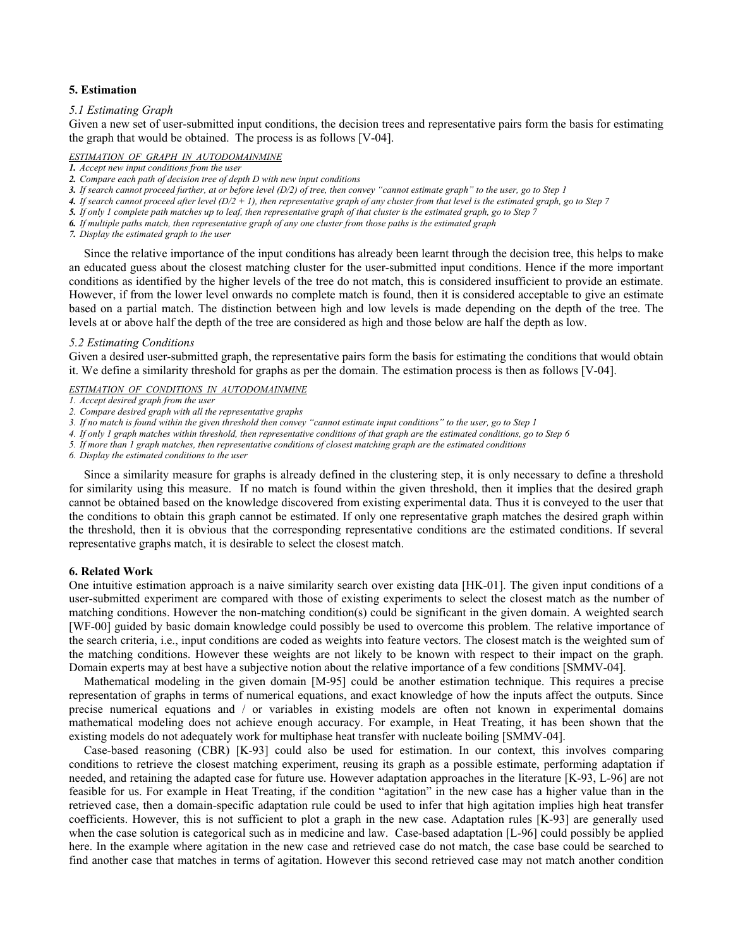## **5. Estimation**

#### *5.1 Estimating Graph*

Given a new set of user-submitted input conditions, the decision trees and representative pairs form the basis for estimating the graph that would be obtained. The process is as follows [V-04].

#### *ESTIMATION OF GRAPH IN AUTODOMAINMINE*

- *2. Compare each path of decision tree of depth D with new input conditions*
- *3. If search cannot proceed further, at or before level (D/2) of tree, then convey "cannot estimate graph" to the user, go to Step 1*

*4. If search cannot proceed after level (D/2 + 1), then representative graph of any cluster from that level is the estimated graph, go to Step 7* 

*5. If only 1 complete path matches up to leaf, then representative graph of that cluster is the estimated graph, go to Step 7* 

*6. If multiple paths match, then representative graph of any one cluster from those paths is the estimated graph* 

*7. Display the estimated graph to the user* 

 Since the relative importance of the input conditions has already been learnt through the decision tree, this helps to make an educated guess about the closest matching cluster for the user-submitted input conditions. Hence if the more important conditions as identified by the higher levels of the tree do not match, this is considered insufficient to provide an estimate. However, if from the lower level onwards no complete match is found, then it is considered acceptable to give an estimate based on a partial match. The distinction between high and low levels is made depending on the depth of the tree. The levels at or above half the depth of the tree are considered as high and those below are half the depth as low.

#### *5.2 Estimating Conditions*

Given a desired user-submitted graph, the representative pairs form the basis for estimating the conditions that would obtain it. We define a similarity threshold for graphs as per the domain. The estimation process is then as follows [V-04].

# *ESTIMATION OF CONDITIONS IN AUTODOMAINMINE*

- *1. Accept desired graph from the user*
- *2. Compare desired graph with all the representative graphs*

*3. If no match is found within the given threshold then convey "cannot estimate input conditions" to the user, go to Step 1* 

*4. If only 1 graph matches within threshold, then representative conditions of that graph are the estimated conditions, go to Step 6* 

*5. If more than 1 graph matches, then representative conditions of closest matching graph are the estimated conditions* 

*6. Display the estimated conditions to the user* 

 Since a similarity measure for graphs is already defined in the clustering step, it is only necessary to define a threshold for similarity using this measure. If no match is found within the given threshold, then it implies that the desired graph cannot be obtained based on the knowledge discovered from existing experimental data. Thus it is conveyed to the user that the conditions to obtain this graph cannot be estimated. If only one representative graph matches the desired graph within the threshold, then it is obvious that the corresponding representative conditions are the estimated conditions. If several representative graphs match, it is desirable to select the closest match.

#### **6. Related Work**

One intuitive estimation approach is a naive similarity search over existing data [HK-01]. The given input conditions of a user-submitted experiment are compared with those of existing experiments to select the closest match as the number of matching conditions. However the non-matching condition(s) could be significant in the given domain. A weighted search [WF-00] guided by basic domain knowledge could possibly be used to overcome this problem. The relative importance of the search criteria, i.e., input conditions are coded as weights into feature vectors. The closest match is the weighted sum of the matching conditions. However these weights are not likely to be known with respect to their impact on the graph. Domain experts may at best have a subjective notion about the relative importance of a few conditions [SMMV-04].

 Mathematical modeling in the given domain [M-95] could be another estimation technique. This requires a precise representation of graphs in terms of numerical equations, and exact knowledge of how the inputs affect the outputs. Since precise numerical equations and / or variables in existing models are often not known in experimental domains mathematical modeling does not achieve enough accuracy. For example, in Heat Treating, it has been shown that the existing models do not adequately work for multiphase heat transfer with nucleate boiling [SMMV-04].

 Case-based reasoning (CBR) [K-93] could also be used for estimation. In our context, this involves comparing conditions to retrieve the closest matching experiment, reusing its graph as a possible estimate, performing adaptation if needed, and retaining the adapted case for future use. However adaptation approaches in the literature [K-93, L-96] are not feasible for us. For example in Heat Treating, if the condition "agitation" in the new case has a higher value than in the retrieved case, then a domain-specific adaptation rule could be used to infer that high agitation implies high heat transfer coefficients. However, this is not sufficient to plot a graph in the new case. Adaptation rules [K-93] are generally used when the case solution is categorical such as in medicine and law. Case-based adaptation [L-96] could possibly be applied here. In the example where agitation in the new case and retrieved case do not match, the case base could be searched to find another case that matches in terms of agitation. However this second retrieved case may not match another condition

*<sup>1.</sup> Accept new input conditions from the user*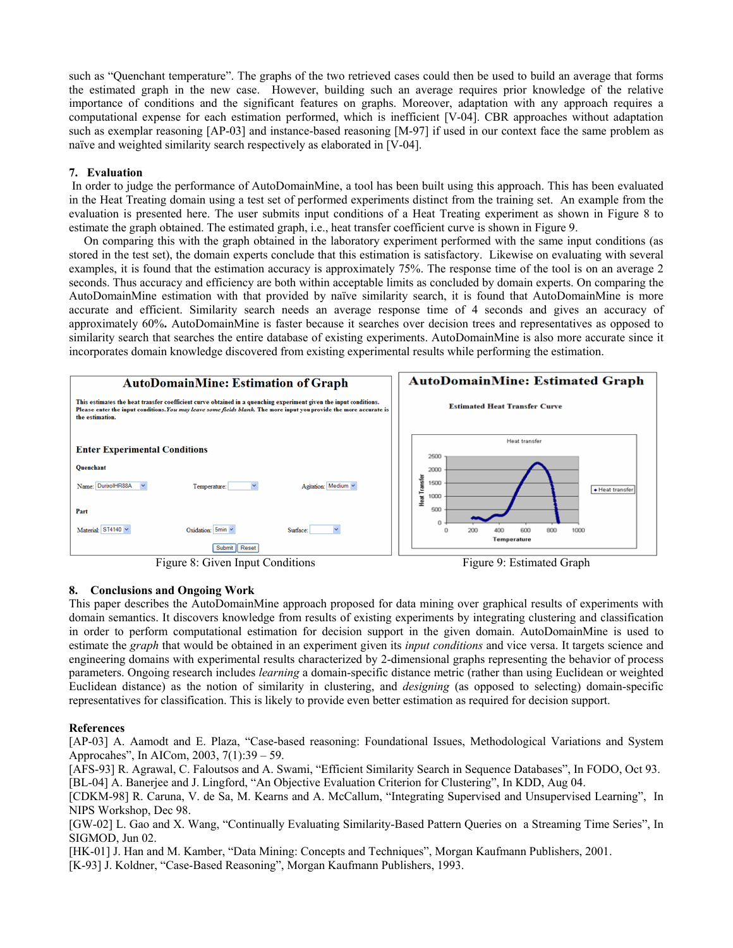such as "Quenchant temperature". The graphs of the two retrieved cases could then be used to build an average that forms the estimated graph in the new case. However, building such an average requires prior knowledge of the relative importance of conditions and the significant features on graphs. Moreover, adaptation with any approach requires a computational expense for each estimation performed, which is inefficient [V-04]. CBR approaches without adaptation such as exemplar reasoning [AP-03] and instance-based reasoning [M-97] if used in our context face the same problem as naïve and weighted similarity search respectively as elaborated in [V-04].

## **7. Evaluation**

 In order to judge the performance of AutoDomainMine, a tool has been built using this approach. This has been evaluated in the Heat Treating domain using a test set of performed experiments distinct from the training set. An example from the evaluation is presented here. The user submits input conditions of a Heat Treating experiment as shown in Figure 8 to estimate the graph obtained. The estimated graph, i.e., heat transfer coefficient curve is shown in Figure 9.

On comparing this with the graph obtained in the laboratory experiment performed with the same input conditions (as stored in the test set), the domain experts conclude that this estimation is satisfactory. Likewise on evaluating with several examples, it is found that the estimation accuracy is approximately 75%. The response time of the tool is on an average 2 seconds. Thus accuracy and efficiency are both within acceptable limits as concluded by domain experts. On comparing the AutoDomainMine estimation with that provided by naïve similarity search, it is found that AutoDomainMine is more accurate and efficient. Similarity search needs an average response time of 4 seconds and gives an accuracy of approximately 60%**.** AutoDomainMine is faster because it searches over decision trees and representatives as opposed to similarity search that searches the entire database of existing experiments. AutoDomainMine is also more accurate since it incorporates domain knowledge discovered from existing experimental results while performing the estimation.



# **8. Conclusions and Ongoing Work**

This paper describes the AutoDomainMine approach proposed for data mining over graphical results of experiments with domain semantics. It discovers knowledge from results of existing experiments by integrating clustering and classification in order to perform computational estimation for decision support in the given domain. AutoDomainMine is used to estimate the *graph* that would be obtained in an experiment given its *input conditions* and vice versa. It targets science and engineering domains with experimental results characterized by 2-dimensional graphs representing the behavior of process parameters. Ongoing research includes *learning* a domain-specific distance metric (rather than using Euclidean or weighted Euclidean distance) as the notion of similarity in clustering, and *designing* (as opposed to selecting) domain-specific representatives for classification. This is likely to provide even better estimation as required for decision support.

## **References**

[AP-03] A. Aamodt and E. Plaza, "Case-based reasoning: Foundational Issues, Methodological Variations and System Approcahes", In AICom, 2003, 7(1):39 – 59.

[AFS-93] R. Agrawal, C. Faloutsos and A. Swami, "Efficient Similarity Search in Sequence Databases", In FODO, Oct 93. [BL-04] A. Banerjee and J. Lingford, "An Objective Evaluation Criterion for Clustering", In KDD, Aug 04.

[CDKM-98] R. Caruna, V. de Sa, M. Kearns and A. McCallum, "Integrating Supervised and Unsupervised Learning", In NIPS Workshop, Dec 98.

[GW-02] L. Gao and X. Wang, "Continually Evaluating Similarity-Based Pattern Queries on a Streaming Time Series", In SIGMOD, Jun 02.

[HK-01] J. Han and M. Kamber, "Data Mining: Concepts and Techniques", Morgan Kaufmann Publishers, 2001.

[K-93] J. Koldner, "Case-Based Reasoning", Morgan Kaufmann Publishers, 1993.